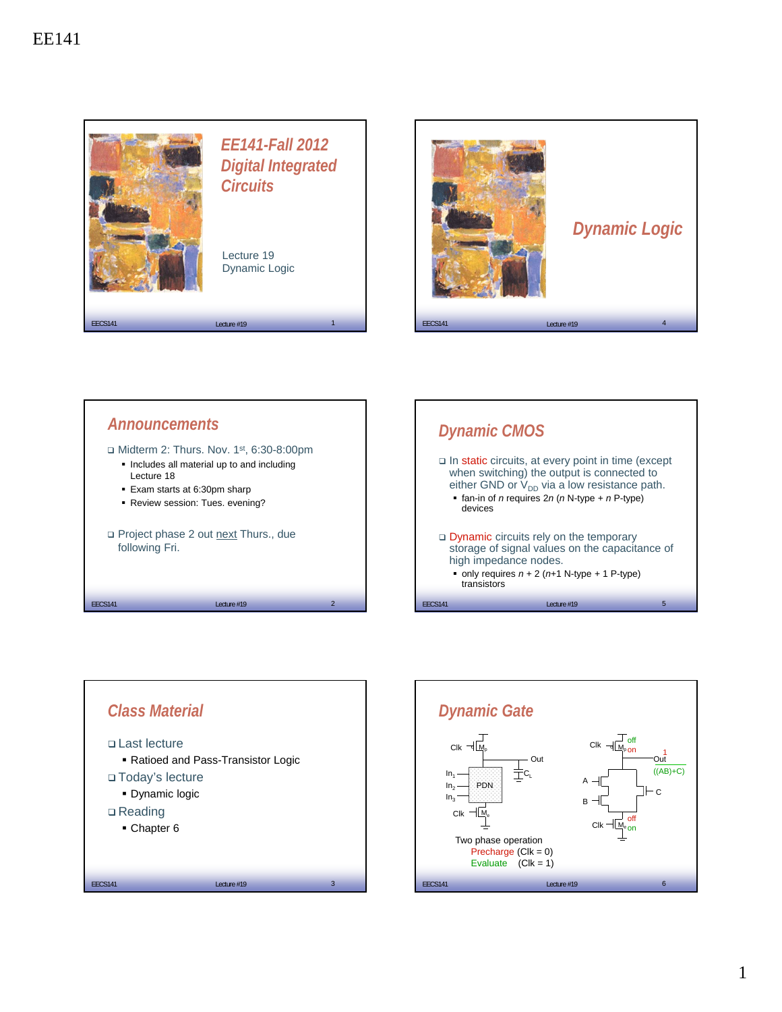









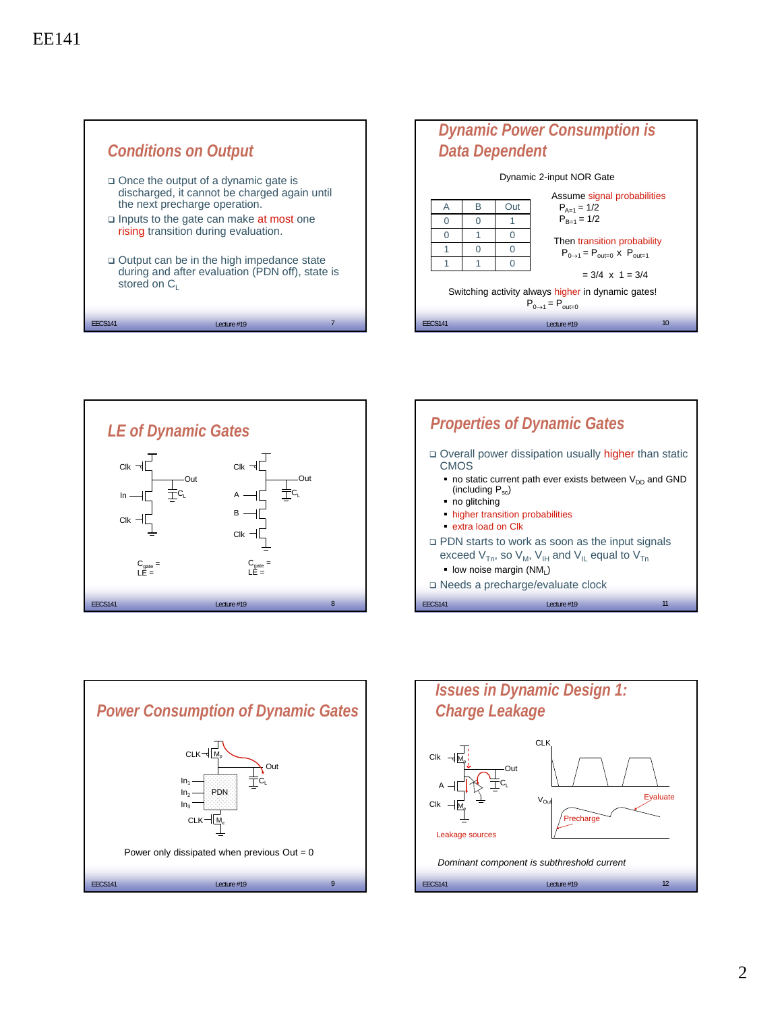







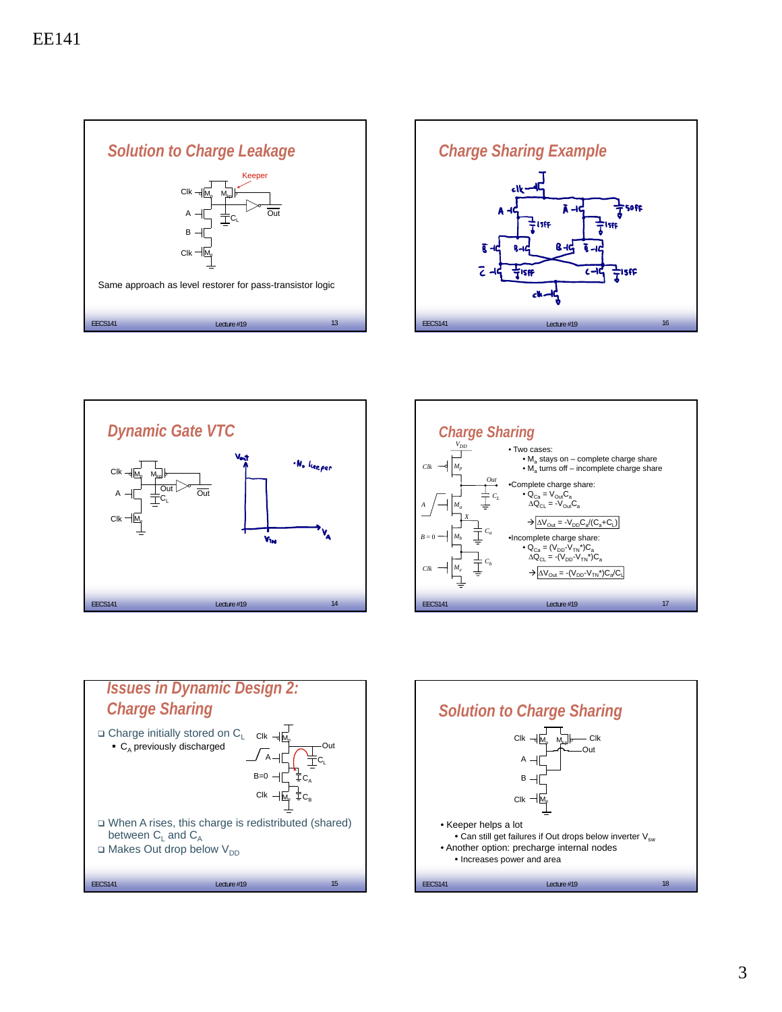